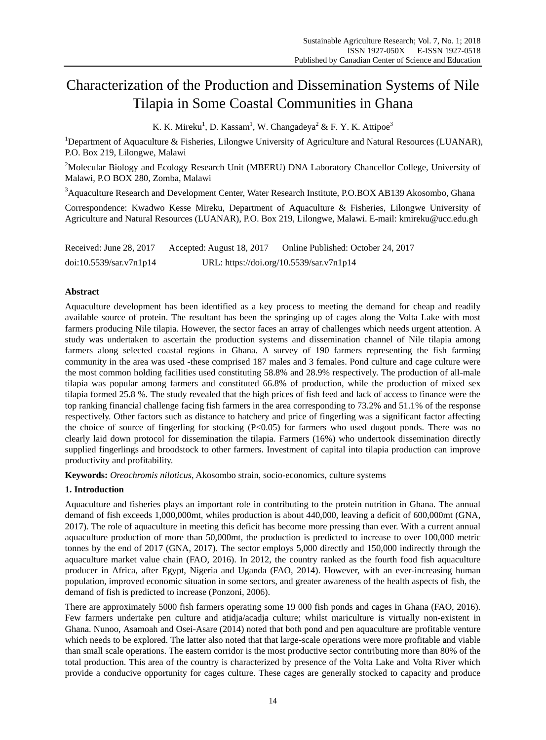# Characterization of the Production and Dissemination Systems of Nile Tilapia in Some Coastal Communities in Ghana

K. K. Mireku<sup>1</sup>, D. Kassam<sup>1</sup>, W. Changadeya<sup>2</sup> & F. Y. K. Attipoe<sup>3</sup>

<sup>1</sup>Department of Aquaculture & Fisheries, Lilongwe University of Agriculture and Natural Resources (LUANAR), P.O. Box 219, Lilongwe, Malawi

<sup>2</sup>Molecular Biology and Ecology Research Unit (MBERU) DNA Laboratory Chancellor College, University of Malawi, P.O BOX 280, Zomba, Malawi

<sup>3</sup>Aquaculture Research and Development Center, Water Research Institute, P.O.BOX AB139 Akosombo, Ghana

Correspondence: Kwadwo Kesse Mireku, Department of Aquaculture & Fisheries, Lilongwe University of Agriculture and Natural Resources (LUANAR), P.O. Box 219, Lilongwe, Malawi. E-mail: kmireku@ucc.edu.gh

Received: June 28, 2017 Accepted: August 18, 2017 Online Published: October 24, 2017 doi:10.5539/sar.v7n1p14 URL: https://doi.org/10.5539/sar.v7n1p14

# **Abstract**

Aquaculture development has been identified as a key process to meeting the demand for cheap and readily available source of protein. The resultant has been the springing up of cages along the Volta Lake with most farmers producing Nile tilapia. However, the sector faces an array of challenges which needs urgent attention. A study was undertaken to ascertain the production systems and dissemination channel of Nile tilapia among farmers along selected coastal regions in Ghana. A survey of 190 farmers representing the fish farming community in the area was used -these comprised 187 males and 3 females. Pond culture and cage culture were the most common holding facilities used constituting 58.8% and 28.9% respectively. The production of all-male tilapia was popular among farmers and constituted 66.8% of production, while the production of mixed sex tilapia formed 25.8 %. The study revealed that the high prices of fish feed and lack of access to finance were the top ranking financial challenge facing fish farmers in the area corresponding to 73.2% and 51.1% of the response respectively. Other factors such as distance to hatchery and price of fingerling was a significant factor affecting the choice of source of fingerling for stocking (P<0.05) for farmers who used dugout ponds. There was no clearly laid down protocol for dissemination the tilapia. Farmers (16%) who undertook dissemination directly supplied fingerlings and broodstock to other farmers. Investment of capital into tilapia production can improve productivity and profitability.

**Keywords:** *Oreochromis niloticus*, Akosombo strain, socio-economics, culture systems

# **1. Introduction**

Aquaculture and fisheries plays an important role in contributing to the protein nutrition in Ghana. The annual demand of fish exceeds 1,000,000mt, whiles production is about 440,000, leaving a deficit of 600,000mt (GNA, 2017). The role of aquaculture in meeting this deficit has become more pressing than ever. With a current annual aquaculture production of more than 50,000mt, the production is predicted to increase to over 100,000 metric tonnes by the end of 2017 (GNA, 2017). The sector employs 5,000 directly and 150,000 indirectly through the aquaculture market value chain (FAO, 2016). In 2012, the country ranked as the fourth food fish aquaculture producer in Africa, after Egypt, Nigeria and Uganda (FAO, 2014). However, with an ever-increasing human population, improved economic situation in some sectors, and greater awareness of the health aspects of fish, the demand of fish is predicted to increase (Ponzoni, 2006).

There are approximately 5000 fish farmers operating some 19 000 fish ponds and cages in Ghana (FAO, 2016). Few farmers undertake pen culture and atidja/acadja culture; whilst mariculture is virtually non-existent in Ghana. Nunoo, Asamoah and Osei-Asare (2014) noted that both pond and pen aquaculture are profitable venture which needs to be explored. The latter also noted that that large-scale operations were more profitable and viable than small scale operations. The eastern corridor is the most productive sector contributing more than 80% of the total production. This area of the country is characterized by presence of the Volta Lake and Volta River which provide a conducive opportunity for cages culture. These cages are generally stocked to capacity and produce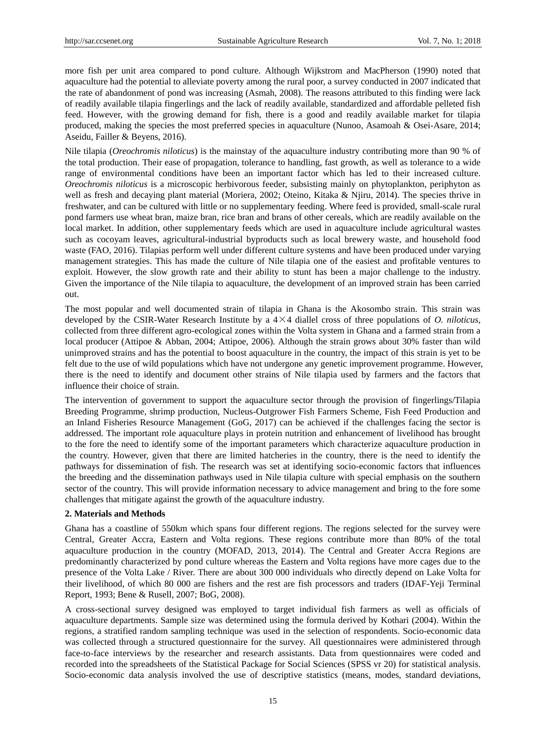more fish per unit area compared to pond culture. Although Wijkstrom and MacPherson (1990) noted that aquaculture had the potential to alleviate poverty among the rural poor, a survey conducted in 2007 indicated that the rate of abandonment of pond was increasing (Asmah, 2008). The reasons attributed to this finding were lack of readily available tilapia fingerlings and the lack of readily available, standardized and affordable pelleted fish feed. However, with the growing demand for fish, there is a good and readily available market for tilapia produced, making the species the most preferred species in aquaculture (Nunoo, Asamoah & Osei-Asare, 2014; Aseidu, Failler & Beyens, 2016).

Nile tilapia (*Oreochromis niloticus*) is the mainstay of the aquaculture industry contributing more than 90 % of the total production. Their ease of propagation, tolerance to handling, fast growth, as well as tolerance to a wide range of environmental conditions have been an important factor which has led to their increased culture. *Oreochromis niloticus* is a microscopic herbivorous feeder, subsisting mainly on phytoplankton, periphyton as well as fresh and decaying plant material (Moriera, 2002; Oteino, Kitaka & Njiru, 2014). The species thrive in freshwater, and can be cultured with little or no supplementary feeding. Where feed is provided, small-scale rural pond farmers use wheat bran, maize bran, rice bran and brans of other cereals, which are readily available on the local market. In addition, other supplementary feeds which are used in aquaculture include agricultural wastes such as cocoyam leaves, agricultural-industrial byproducts such as local brewery waste, and household food waste (FAO, 2016). Tilapias perform well under different culture systems and have been produced under varying management strategies. This has made the culture of Nile tilapia one of the easiest and profitable ventures to exploit. However, the slow growth rate and their ability to stunt has been a major challenge to the industry. Given the importance of the Nile tilapia to aquaculture, the development of an improved strain has been carried out.

The most popular and well documented strain of tilapia in Ghana is the Akosombo strain. This strain was developed by the CSIR-Water Research Institute by a 4×4 diallel cross of three populations of *O. niloticus*, collected from three different agro-ecological zones within the Volta system in Ghana and a farmed strain from a local producer (Attipoe & Abban, 2004; Attipoe, 2006). Although the strain grows about 30% faster than wild unimproved strains and has the potential to boost aquaculture in the country, the impact of this strain is yet to be felt due to the use of wild populations which have not undergone any genetic improvement programme. However, there is the need to identify and document other strains of Nile tilapia used by farmers and the factors that influence their choice of strain.

The intervention of government to support the aquaculture sector through the provision of fingerlings/Tilapia Breeding Programme, shrimp production, Nucleus-Outgrower Fish Farmers Scheme, Fish Feed Production and an Inland Fisheries Resource Management (GoG, 2017) can be achieved if the challenges facing the sector is addressed. The important role aquaculture plays in protein nutrition and enhancement of livelihood has brought to the fore the need to identify some of the important parameters which characterize aquaculture production in the country. However, given that there are limited hatcheries in the country, there is the need to identify the pathways for dissemination of fish. The research was set at identifying socio-economic factors that influences the breeding and the dissemination pathways used in Nile tilapia culture with special emphasis on the southern sector of the country. This will provide information necessary to advice management and bring to the fore some challenges that mitigate against the growth of the aquaculture industry.

## **2. Materials and Methods**

Ghana has a coastline of 550km which spans four different regions. The regions selected for the survey were Central, Greater Accra, Eastern and Volta regions. These regions contribute more than 80% of the total aquaculture production in the country (MOFAD, 2013, 2014). The Central and Greater Accra Regions are predominantly characterized by pond culture whereas the Eastern and Volta regions have more cages due to the presence of the Volta Lake / River. There are about 300 000 individuals who directly depend on Lake Volta for their livelihood, of which 80 000 are fishers and the rest are fish processors and traders (IDAF-Yeji Terminal Report, 1993; Bene & Rusell, 2007; BoG, 2008).

A cross-sectional survey designed was employed to target individual fish farmers as well as officials of aquaculture departments. Sample size was determined using the formula derived by Kothari (2004). Within the regions, a stratified random sampling technique was used in the selection of respondents. Socio-economic data was collected through a structured questionnaire for the survey. All questionnaires were administered through face-to-face interviews by the researcher and research assistants. Data from questionnaires were coded and recorded into the spreadsheets of the Statistical Package for Social Sciences (SPSS vr 20) for statistical analysis. Socio-economic data analysis involved the use of descriptive statistics (means, modes, standard deviations,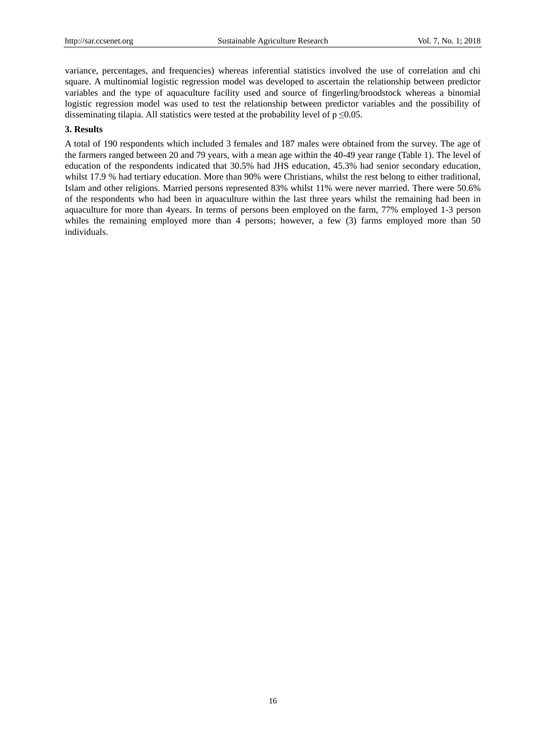variance, percentages, and frequencies) whereas inferential statistics involved the use of correlation and chi square. A multinomial logistic regression model was developed to ascertain the relationship between predictor variables and the type of aquaculture facility used and source of fingerling/broodstock whereas a binomial logistic regression model was used to test the relationship between predictor variables and the possibility of disseminating tilapia. All statistics were tested at the probability level of  $p \le 0.05$ .

## **3. Results**

A total of 190 respondents which included 3 females and 187 males were obtained from the survey. The age of the farmers ranged between 20 and 79 years, with a mean age within the 40-49 year range (Table 1). The level of education of the respondents indicated that 30.5% had JHS education, 45.3% had senior secondary education, whilst 17.9 % had tertiary education. More than 90% were Christians, whilst the rest belong to either traditional, Islam and other religions. Married persons represented 83% whilst 11% were never married. There were 50.6% of the respondents who had been in aquaculture within the last three years whilst the remaining had been in aquaculture for more than 4years. In terms of persons been employed on the farm, 77% employed 1-3 person whiles the remaining employed more than 4 persons; however, a few (3) farms employed more than 50 individuals.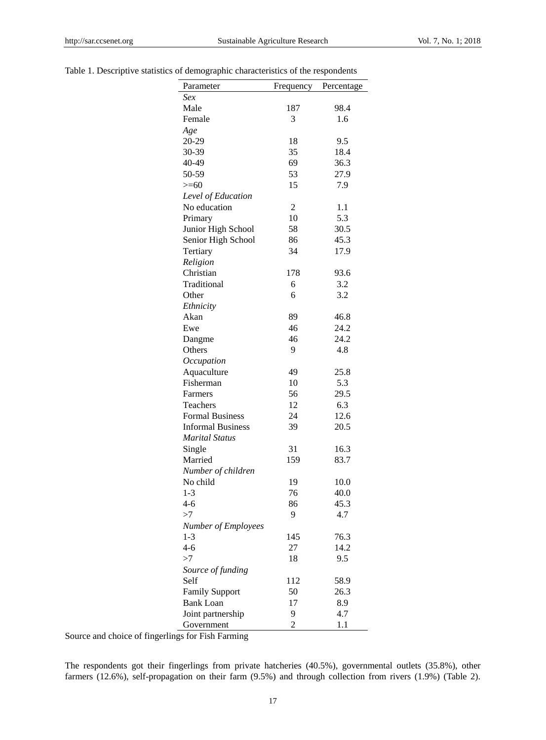| Table 1. Descriptive statistics of demographic characteristics of the respondents |  |  |  |
|-----------------------------------------------------------------------------------|--|--|--|
|                                                                                   |  |  |  |

| Parameter                  | Frequency | Percentage |
|----------------------------|-----------|------------|
| Sex                        |           |            |
| Male                       | 187       | 98.4       |
| Female                     | 3         | 1.6        |
| Age                        |           |            |
| 20-29                      | 18        | 9.5        |
| 30-39                      | 35        | 18.4       |
| 40-49                      | 69        | 36.3       |
| 50-59                      | 53        | 27.9       |
| $>=$ 60                    | 15        | 7.9        |
| Level of Education         |           |            |
| No education               | 2         | 1.1        |
| Primary                    | 10        | 5.3        |
| Junior High School         | 58        | 30.5       |
| Senior High School         | 86        | 45.3       |
| Tertiary                   | 34        | 17.9       |
| Religion                   |           |            |
| Christian                  | 178       | 93.6       |
| Traditional                | 6         | 3.2        |
| Other                      | 6         | 3.2        |
| Ethnicity                  |           |            |
| Akan                       | 89        | 46.8       |
| Ewe                        | 46        | 24.2       |
| Dangme                     | 46        | 24.2       |
| Others                     | 9         | 4.8        |
| Occupation                 |           |            |
| Aquaculture                | 49        | 25.8       |
| Fisherman                  | 10        | 5.3        |
| Farmers                    | 56        | 29.5       |
| Teachers                   | 12        | 6.3        |
| <b>Formal Business</b>     | 24        | 12.6       |
| <b>Informal Business</b>   | 39        | 20.5       |
| Marital Status             |           |            |
| Single                     | 31        | 16.3       |
| Married                    | 159       | 83.7       |
| Number of children         |           |            |
| No child                   | 19        | 10.0       |
| $1-3$                      | 76        | 40.0       |
| 4-6                        | 86        | 45.3       |
| >7                         | 9         | 4.7        |
| <b>Number of Employees</b> |           |            |
| $1 - 3$                    | 145       | 76.3       |
| $4-6$                      | 27        | 14.2       |
| >7                         | 18        | 9.5        |
| Source of funding          |           |            |
| Self                       | 112       | 58.9       |
| <b>Family Support</b>      | 50        | 26.3       |
| <b>Bank Loan</b>           | 17        | 8.9        |
| Joint partnership          | 9         | 4.7        |
| Government                 | 2         | 1.1        |

Source and choice of fingerlings for Fish Farming

The respondents got their fingerlings from private hatcheries (40.5%), governmental outlets (35.8%), other farmers (12.6%), self-propagation on their farm (9.5%) and through collection from rivers (1.9%) (Table 2).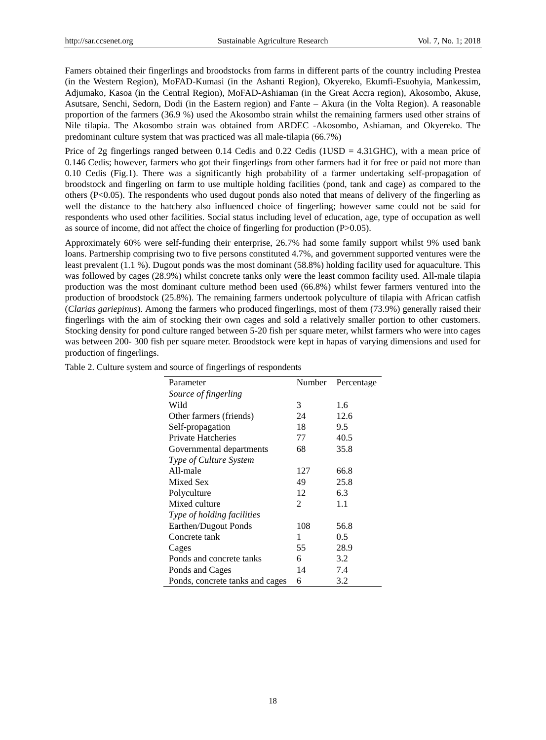Famers obtained their fingerlings and broodstocks from farms in different parts of the country including Prestea (in the Western Region), MoFAD-Kumasi (in the Ashanti Region), Okyereko, Ekumfi-Esuohyia, Mankessim, Adjumako, Kasoa (in the Central Region), MoFAD-Ashiaman (in the Great Accra region), Akosombo, Akuse, Asutsare, Senchi, Sedorn, Dodi (in the Eastern region) and Fante – Akura (in the Volta Region). A reasonable proportion of the farmers (36.9 %) used the Akosombo strain whilst the remaining farmers used other strains of Nile tilapia. The Akosombo strain was obtained from ARDEC -Akosombo, Ashiaman, and Okyereko. The predominant culture system that was practiced was all male-tilapia (66.7%)

Price of 2g fingerlings ranged between 0.14 Cedis and 0.22 Cedis (1USD = 4.31GHC), with a mean price of 0.146 Cedis; however, farmers who got their fingerlings from other farmers had it for free or paid not more than 0.10 Cedis (Fig.1). There was a significantly high probability of a farmer undertaking self-propagation of broodstock and fingerling on farm to use multiple holding facilities (pond, tank and cage) as compared to the others ( $P<0.05$ ). The respondents who used dugout ponds also noted that means of delivery of the fingerling as well the distance to the hatchery also influenced choice of fingerling; however same could not be said for respondents who used other facilities. Social status including level of education, age, type of occupation as well as source of income, did not affect the choice of fingerling for production (P>0.05).

Approximately 60% were self-funding their enterprise, 26.7% had some family support whilst 9% used bank loans. Partnership comprising two to five persons constituted 4.7%, and government supported ventures were the least prevalent (1.1 %). Dugout ponds was the most dominant (58.8%) holding facility used for aquaculture. This was followed by cages (28.9%) whilst concrete tanks only were the least common facility used. All-male tilapia production was the most dominant culture method been used (66.8%) whilst fewer farmers ventured into the production of broodstock (25.8%). The remaining farmers undertook polyculture of tilapia with African catfish (*Clarias gariepinus*). Among the farmers who produced fingerlings, most of them (73.9%) generally raised their fingerlings with the aim of stocking their own cages and sold a relatively smaller portion to other customers. Stocking density for pond culture ranged between 5-20 fish per square meter, whilst farmers who were into cages was between 200- 300 fish per square meter. Broodstock were kept in hapas of varying dimensions and used for production of fingerlings.

| Parameter                       | Number | Percentage |
|---------------------------------|--------|------------|
| Source of fingerling            |        |            |
| Wild                            | 3      | 1.6        |
| Other farmers (friends)         | 24     | 12.6       |
| Self-propagation                | 18     | 9.5        |
| Private Hatcheries              | 77     | 40.5       |
| Governmental departments        | 68     | 35.8       |
| Type of Culture System          |        |            |
| All-male                        | 127    | 66.8       |
| Mixed Sex                       | 49     | 25.8       |
| Polyculture                     | 12     | 6.3        |
| Mixed culture                   | 2      | 1.1        |
| Type of holding facilities      |        |            |
| Earthen/Dugout Ponds            | 108    | 56.8       |
| Concrete tank                   | 1      | 0.5        |
| Cages                           | 55     | 28.9       |
| Ponds and concrete tanks        | 6      | 3.2        |
| Ponds and Cages                 | 14     | 7.4        |
| Ponds, concrete tanks and cages | 6      | 3.2        |

Table 2. Culture system and source of fingerlings of respondents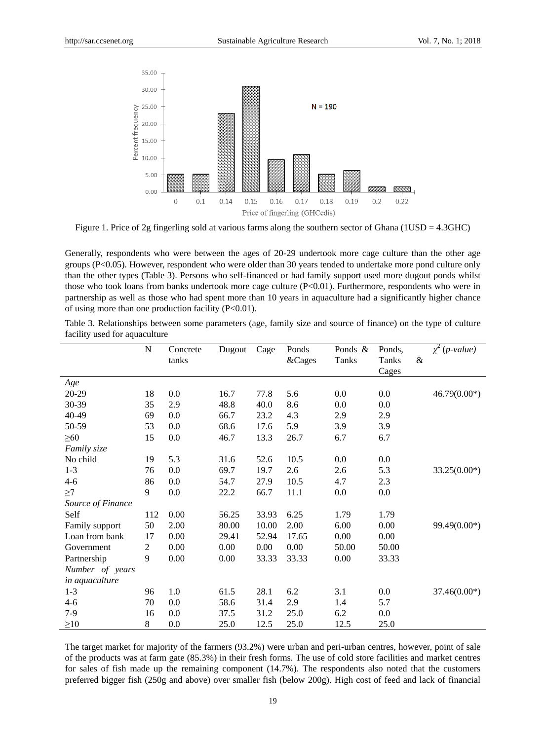

Figure 1. Price of 2g fingerling sold at various farms along the southern sector of Ghana (1USD = 4.3GHC)

Generally, respondents who were between the ages of 20-29 undertook more cage culture than the other age groups (P<0.05). However, respondent who were older than 30 years tended to undertake more pond culture only than the other types (Table 3). Persons who self-financed or had family support used more dugout ponds whilst those who took loans from banks undertook more cage culture (P<0.01). Furthermore, respondents who were in partnership as well as those who had spent more than 10 years in aquaculture had a significantly higher chance of using more than one production facility (P<0.01).

Table 3. Relationships between some parameters (age, family size and source of finance) on the type of culture facility used for aquaculture

|                   | $\mathbf N$ | Concrete | Dugout | Cage  | Ponds  | Ponds $\&$ | Ponds,     | $\chi^2$ (p-value) |
|-------------------|-------------|----------|--------|-------|--------|------------|------------|--------------------|
|                   |             | tanks    |        |       | &Cages | Tanks      | &<br>Tanks |                    |
|                   |             |          |        |       |        |            | Cages      |                    |
| Age               |             |          |        |       |        |            |            |                    |
| 20-29             | 18          | 0.0      | 16.7   | 77.8  | 5.6    | 0.0        | 0.0        | $46.79(0.00*)$     |
| 30-39             | 35          | 2.9      | 48.8   | 40.0  | 8.6    | 0.0        | 0.0        |                    |
| 40-49             | 69          | 0.0      | 66.7   | 23.2  | 4.3    | 2.9        | 2.9        |                    |
| 50-59             | 53          | 0.0      | 68.6   | 17.6  | 5.9    | 3.9        | 3.9        |                    |
| $\geq 60$         | 15          | 0.0      | 46.7   | 13.3  | 26.7   | 6.7        | 6.7        |                    |
| Family size       |             |          |        |       |        |            |            |                    |
| No child          | 19          | 5.3      | 31.6   | 52.6  | 10.5   | 0.0        | 0.0        |                    |
| $1 - 3$           | 76          | 0.0      | 69.7   | 19.7  | 2.6    | 2.6        | 5.3        | $33.25(0.00*)$     |
| $4 - 6$           | 86          | 0.0      | 54.7   | 27.9  | 10.5   | 4.7        | 2.3        |                    |
| $\geq$ 7          | 9           | 0.0      | 22.2   | 66.7  | 11.1   | 0.0        | 0.0        |                    |
| Source of Finance |             |          |        |       |        |            |            |                    |
| Self              | 112         | 0.00     | 56.25  | 33.93 | 6.25   | 1.79       | 1.79       |                    |
| Family support    | 50          | 2.00     | 80.00  | 10.00 | 2.00   | 6.00       | 0.00       | 99.49(0.00*)       |
| Loan from bank    | 17          | 0.00     | 29.41  | 52.94 | 17.65  | 0.00       | 0.00       |                    |
| Government        | 2           | 0.00     | 0.00   | 0.00  | 0.00   | 50.00      | 50.00      |                    |
| Partnership       | 9           | 0.00     | 0.00   | 33.33 | 33.33  | 0.00       | 33.33      |                    |
| Number of years   |             |          |        |       |        |            |            |                    |
| in aquaculture    |             |          |        |       |        |            |            |                    |
| $1 - 3$           | 96          | 1.0      | 61.5   | 28.1  | 6.2    | 3.1        | 0.0        | $37.46(0.00*)$     |
| $4 - 6$           | 70          | 0.0      | 58.6   | 31.4  | 2.9    | 1.4        | 5.7        |                    |
| $7-9$             | 16          | 0.0      | 37.5   | 31.2  | 25.0   | 6.2        | 0.0        |                    |
| $\geq 10$         | $\,8$       | 0.0      | 25.0   | 12.5  | 25.0   | 12.5       | 25.0       |                    |

The target market for majority of the farmers (93.2%) were urban and peri-urban centres, however, point of sale of the products was at farm gate (85.3%) in their fresh forms. The use of cold store facilities and market centres for sales of fish made up the remaining component (14.7%). The respondents also noted that the customers preferred bigger fish (250g and above) over smaller fish (below 200g). High cost of feed and lack of financial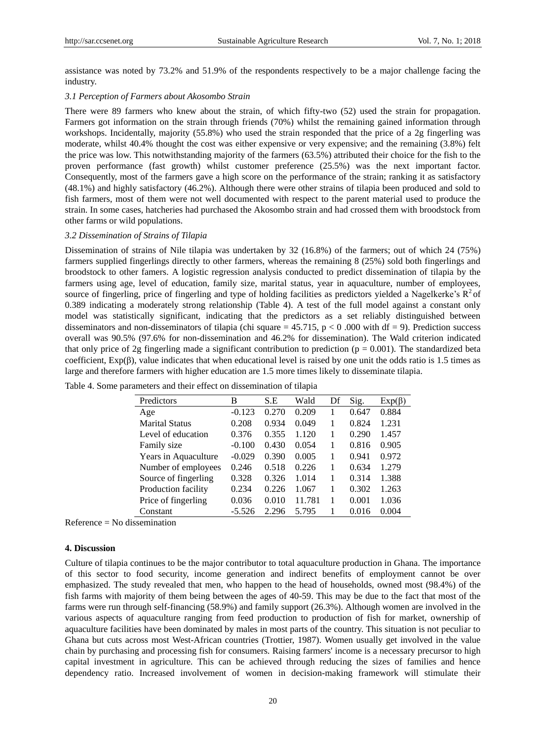assistance was noted by 73.2% and 51.9% of the respondents respectively to be a major challenge facing the industry.

#### *3.1 Perception of Farmers about Akosombo Strain*

There were 89 farmers who knew about the strain, of which fifty-two (52) used the strain for propagation. Farmers got information on the strain through friends (70%) whilst the remaining gained information through workshops. Incidentally, majority (55.8%) who used the strain responded that the price of a 2g fingerling was moderate, whilst 40.4% thought the cost was either expensive or very expensive; and the remaining (3.8%) felt the price was low. This notwithstanding majority of the farmers (63.5%) attributed their choice for the fish to the proven performance (fast growth) whilst customer preference (25.5%) was the next important factor. Consequently, most of the farmers gave a high score on the performance of the strain; ranking it as satisfactory (48.1%) and highly satisfactory (46.2%). Although there were other strains of tilapia been produced and sold to fish farmers, most of them were not well documented with respect to the parent material used to produce the strain. In some cases, hatcheries had purchased the Akosombo strain and had crossed them with broodstock from other farms or wild populations.

#### *3.2 Dissemination of Strains of Tilapia*

Dissemination of strains of Nile tilapia was undertaken by 32 (16.8%) of the farmers; out of which 24 (75%) farmers supplied fingerlings directly to other farmers, whereas the remaining 8 (25%) sold both fingerlings and broodstock to other famers. A logistic regression analysis conducted to predict dissemination of tilapia by the farmers using age, level of education, family size, marital status, year in aquaculture, number of employees, source of fingerling, price of fingerling and type of holding facilities as predictors yielded a Nagelkerke's  $R^2$  of 0.389 indicating a moderately strong relationship (Table 4). A test of the full model against a constant only model was statistically significant, indicating that the predictors as a set reliably distinguished between disseminators and non-disseminators of tilapia (chi square =  $45.715$ , p < 0 .000 with df = 9). Prediction success overall was 90.5% (97.6% for non-dissemination and 46.2% for dissemination). The Wald criterion indicated that only price of 2g fingerling made a significant contribution to prediction ( $p = 0.001$ ). The standardized beta coefficient,  $Exp(\beta)$ , value indicates that when educational level is raised by one unit the odds ratio is 1.5 times as large and therefore farmers with higher education are 1.5 more times likely to disseminate tilapia.

| Predictors            | В        | S.E   | Wald   | Df | Sig.  | $Exp(\beta)$ |
|-----------------------|----------|-------|--------|----|-------|--------------|
| Age                   | $-0.123$ | 0.270 | 0.209  |    | 0.647 | 0.884        |
| <b>Marital Status</b> | 0.208    | 0.934 | 0.049  |    | 0.824 | 1.231        |
| Level of education    | 0.376    | 0.355 | 1.120  |    | 0.290 | 1.457        |
| Family size           | $-0.100$ | 0.430 | 0.054  |    | 0.816 | 0.905        |
| Years in Aquaculture  | $-0.029$ | 0.390 | 0.005  |    | 0.941 | 0.972        |
| Number of employees   | 0.246    | 0.518 | 0.226  |    | 0.634 | 1.279        |
| Source of fingerling  | 0.328    | 0.326 | 1.014  |    | 0.314 | 1.388        |
| Production facility   | 0.234    | 0.226 | 1.067  |    | 0.302 | 1.263        |
| Price of fingerling   | 0.036    | 0.010 | 11.781 | 1  | 0.001 | 1.036        |
| Constant              | $-5.526$ | 2.296 | 5.795  |    | 0.016 | 0.004        |

Table 4. Some parameters and their effect on dissemination of tilapia

Reference = No dissemination

#### **4. Discussion**

Culture of tilapia continues to be the major contributor to total aquaculture production in Ghana. The importance of this sector to food security, income generation and indirect benefits of employment cannot be over emphasized. The study revealed that men, who happen to the head of households, owned most (98.4%) of the fish farms with majority of them being between the ages of 40-59. This may be due to the fact that most of the farms were run through self-financing (58.9%) and family support (26.3%). Although women are involved in the various aspects of aquaculture ranging from feed production to production of fish for market, ownership of aquaculture facilities have been dominated by males in most parts of the country. This situation is not peculiar to Ghana but cuts across most West-African countries (Trottier, 1987). Women usually get involved in the value chain by purchasing and processing fish for consumers. Raising farmers' income is a necessary precursor to high capital investment in agriculture. This can be achieved through reducing the sizes of families and hence dependency ratio. Increased involvement of women in decision-making framework will stimulate their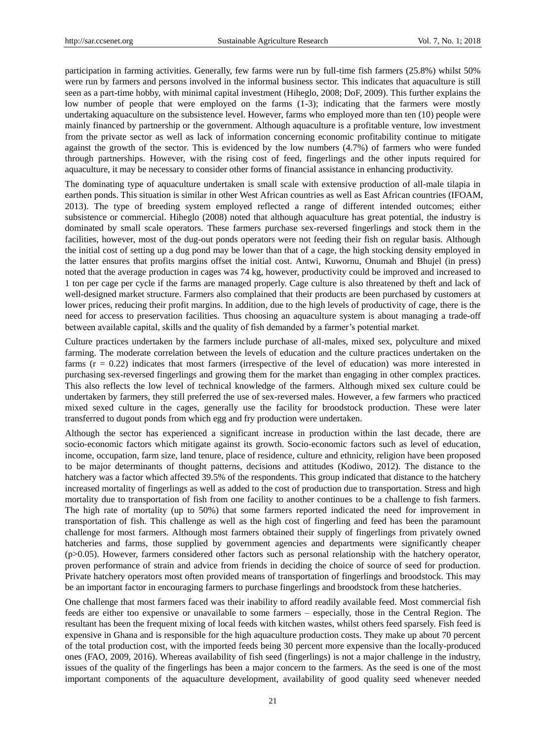participation in farming activities. Generally, few farms were run by full-time fish farmers (25.8%) whilst 50% were run by farmers and persons involved in the informal business sector. This indicates that aquaculture is still seen as a part-time hobby, with minimal capital investment (Hiheglo, 2008; DoF, 2009). This further explains the low number of people that were employed on the farms (1-3); indicating that the farmers were mostly undertaking aquaculture on the subsistence level. However, farms who employed more than ten (10) people were mainly financed by partnership or the government. Although aquaculture is a profitable venture, low investment from the private sector as well as lack of information concerning economic profitability continue to mitigate against the growth of the sector. This is evidenced by the low numbers (4.7%) of farmers who were funded through partnerships. However, with the rising cost of feed, fingerlings and the other inputs required for aquaculture, it may be necessary to consider other forms of financial assistance in enhancing productivity.

The dominating type of aquaculture undertaken is small scale with extensive production of all-male tilapia in earthen ponds. This situation is similar in other West African countries as well as East African countries (IFOAM, 2013). The type of breeding system employed reflected a range of different intended outcomes; either subsistence or commercial. Hiheglo (2008) noted that although aquaculture has great potential, the industry is dominated by small scale operators. These farmers purchase sex-reversed fingerlings and stock them in the facilities, however, most of the dug-out ponds operators were not feeding their fish on regular basis. Although the initial cost of setting up a dug pond may be lower than that of a cage, the high stocking density employed in the latter ensures that profits margins offset the initial cost. Antwi, Kuwornu, Onumah and Bhujel (in press) noted that the average production in cages was 74 kg, however, productivity could be improved and increased to 1 ton per cage per cycle if the farms are managed properly. Cage culture is also threatened by theft and lack of well-designed market structure. Farmers also complained that their products are been purchased by customers at lower prices, reducing their profit margins. In addition, due to the high levels of productivity of cage, there is the need for access to preservation facilities. Thus choosing an aquaculture system is about managing a trade-off between available capital, skills and the quality of fish demanded by a farmer's potential market.

Culture practices undertaken by the farmers include purchase of all-males, mixed sex, polyculture and mixed farming. The moderate correlation between the levels of education and the culture practices undertaken on the farms (r = 0.22) indicates that most farmers (irrespective of the level of education) was more interested in purchasing sex-reversed fingerlings and growing them for the market than engaging in other complex practices. This also reflects the low level of technical knowledge of the farmers. Although mixed sex culture could be undertaken by farmers, they still preferred the use of sex-reversed males. However, a few farmers who practiced mixed sexed culture in the cages, generally use the facility for broodstock production. These were later transferred to dugout ponds from which egg and fry production were undertaken.

Although the sector has experienced a significant increase in production within the last decade, there are socio-economic factors which mitigate against its growth. Socio-economic factors such as level of education, income, occupation, farm size, land tenure, place of residence, culture and ethnicity, religion have been proposed to be major determinants of thought patterns, decisions and attitudes (Kodiwo, 2012). The distance to the hatchery was a factor which affected 39.5% of the respondents. This group indicated that distance to the hatchery increased mortality of fingerlings as well as added to the cost of production due to transportation. Stress and high mortality due to transportation of fish from one facility to another continues to be a challenge to fish farmers. The high rate of mortality (up to 50%) that some farmers reported indicated the need for improvement in transportation of fish. This challenge as well as the high cost of fingerling and feed has been the paramount challenge for most farmers. Although most farmers obtained their supply of fingerlings from privately owned hatcheries and farms, those supplied by government agencies and departments were significantly cheaper (p>0.05). However, farmers considered other factors such as personal relationship with the hatchery operator, proven performance of strain and advice from friends in deciding the choice of source of seed for production. Private hatchery operators most often provided means of transportation of fingerlings and broodstock. This may be an important factor in encouraging farmers to purchase fingerlings and broodstock from these hatcheries.

One challenge that most farmers faced was their inability to afford readily available feed. Most commercial fish feeds are either too expensive or unavailable to some farmers – especially, those in the Central Region. The resultant has been the frequent mixing of local feeds with kitchen wastes, whilst others feed sparsely. Fish feed is expensive in Ghana and is responsible for the high aquaculture production costs. They make up about 70 percent of the total production cost, with the imported feeds being 30 percent more expensive than the locally-produced ones (FAO, 2009, 2016). Whereas availability of fish seed (fingerlings) is not a major challenge in the industry, issues of the quality of the fingerlings has been a major concern to the farmers. As the seed is one of the most important components of the aquaculture development, availability of good quality seed whenever needed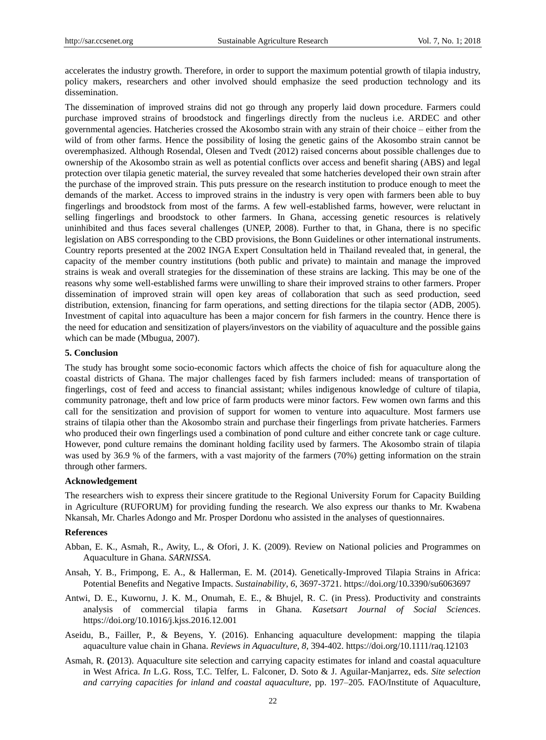accelerates the industry growth. Therefore, in order to support the maximum potential growth of tilapia industry, policy makers, researchers and other involved should emphasize the seed production technology and its dissemination.

The dissemination of improved strains did not go through any properly laid down procedure. Farmers could purchase improved strains of broodstock and fingerlings directly from the nucleus i.e. ARDEC and other governmental agencies. Hatcheries crossed the Akosombo strain with any strain of their choice – either from the wild of from other farms. Hence the possibility of losing the genetic gains of the Akosombo strain cannot be overemphasized. Although Rosendal, Olesen and Tvedt (2012) raised concerns about possible challenges due to ownership of the Akosombo strain as well as potential conflicts over access and benefit sharing (ABS) and legal protection over tilapia genetic material, the survey revealed that some hatcheries developed their own strain after the purchase of the improved strain. This puts pressure on the research institution to produce enough to meet the demands of the market. Access to improved strains in the industry is very open with farmers been able to buy fingerlings and broodstock from most of the farms. A few well-established farms, however, were reluctant in selling fingerlings and broodstock to other farmers. In Ghana, accessing genetic resources is relatively uninhibited and thus faces several challenges (UNEP, 2008). Further to that, in Ghana, there is no specific legislation on ABS corresponding to the CBD provisions, the Bonn Guidelines or other international instruments. Country reports presented at the 2002 INGA Expert Consultation held in Thailand revealed that, in general, the capacity of the member country institutions (both public and private) to maintain and manage the improved strains is weak and overall strategies for the dissemination of these strains are lacking. This may be one of the reasons why some well-established farms were unwilling to share their improved strains to other farmers. Proper dissemination of improved strain will open key areas of collaboration that such as seed production, seed distribution, extension, financing for farm operations, and setting directions for the tilapia sector (ADB, 2005). Investment of capital into aquaculture has been a major concern for fish farmers in the country. Hence there is the need for education and sensitization of players/investors on the viability of aquaculture and the possible gains which can be made (Mbugua, 2007).

#### **5. Conclusion**

The study has brought some socio-economic factors which affects the choice of fish for aquaculture along the coastal districts of Ghana. The major challenges faced by fish farmers included: means of transportation of fingerlings, cost of feed and access to financial assistant; whiles indigenous knowledge of culture of tilapia, community patronage, theft and low price of farm products were minor factors. Few women own farms and this call for the sensitization and provision of support for women to venture into aquaculture. Most farmers use strains of tilapia other than the Akosombo strain and purchase their fingerlings from private hatcheries. Farmers who produced their own fingerlings used a combination of pond culture and either concrete tank or cage culture. However, pond culture remains the dominant holding facility used by farmers. The Akosombo strain of tilapia was used by 36.9 % of the farmers, with a vast majority of the farmers (70%) getting information on the strain through other farmers.

#### **Acknowledgement**

The researchers wish to express their sincere gratitude to the Regional University Forum for Capacity Building in Agriculture (RUFORUM) for providing funding the research. We also express our thanks to Mr. Kwabena Nkansah, Mr. Charles Adongo and Mr. Prosper Dordonu who assisted in the analyses of questionnaires.

### **References**

- Abban, E. K., Asmah, R., Awity, L., & Ofori, J. K. (2009). Review on National policies and Programmes on Aquaculture in Ghana. *SARNISSA*.
- Ansah, Y. B., Frimpong, E. A., & Hallerman, E. M. (2014). Genetically-Improved Tilapia Strains in Africa: Potential Benefits and Negative Impacts. *Sustainability*, *6*, 3697-3721. https://doi.org/10.3390/su6063697
- Antwi, D. E., Kuwornu, J. K. M., Onumah, E. E., & Bhujel, R. C. (in Press). Productivity and constraints analysis of commercial tilapia farms in Ghana*. Kasetsart Journal of Social Sciences*. https://doi.org/10.1016/j.kjss.2016.12.001
- Aseidu, B., Failler, P., & Beyens, Y. (2016). Enhancing aquaculture development: mapping the tilapia aquaculture value chain in Ghana. *Reviews in Aquaculture*, *8*, 394-402. https://doi.org/10.1111/raq.12103
- Asmah, R. **(**2013). Aquaculture site selection and carrying capacity estimates for inland and coastal aquaculture in West Africa. *In* L.G. Ross, T.C. Telfer, L. Falconer, D. Soto & J. Aguilar-Manjarrez, eds. *Site selection and carrying capacities for inland and coastal aquaculture,* pp. 197–205*.* FAO/Institute of Aquaculture,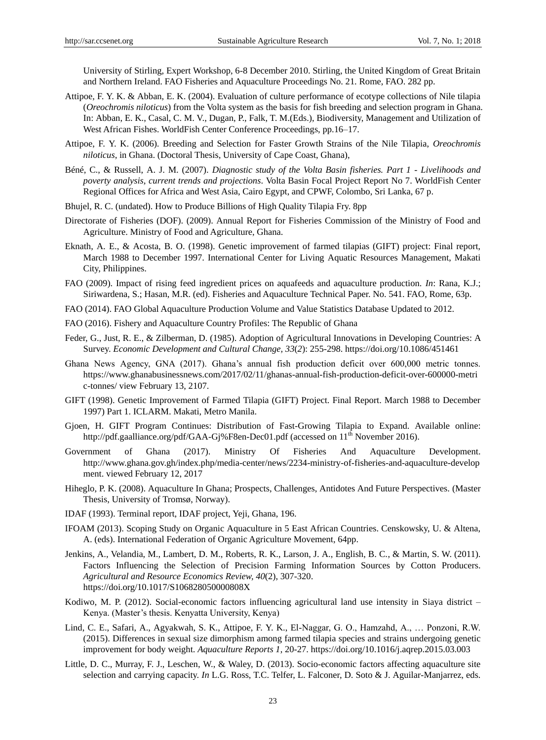University of Stirling, Expert Workshop, 6-8 December 2010. Stirling, the United Kingdom of Great Britain and Northern Ireland. FAO Fisheries and Aquaculture Proceedings No. 21. Rome, FAO. 282 pp.

- Attipoe, F. Y. K. & Abban, E. K. (2004). Evaluation of culture performance of ecotype collections of Nile tilapia (*Oreochromis niloticus*) from the Volta system as the basis for fish breeding and selection program in Ghana. In: Abban, E. K., Casal, C. M. V., Dugan, P., Falk, T. M.(Eds.), Biodiversity, Management and Utilization of West African Fishes. WorldFish Center Conference Proceedings, pp.16–17.
- Attipoe, F. Y. K. (2006). Breeding and Selection for Faster Growth Strains of the Nile Tilapia, *Oreochromis niloticus*, in Ghana. (Doctoral Thesis, University of Cape Coast, Ghana),
- Béné, C., & Russell, A. J. M. (2007). *Diagnostic study of the Volta Basin fisheries. Part 1 - Livelihoods and poverty analysis, current trends and projections*. Volta Basin Focal Project Report No 7. WorldFish Center Regional Offices for Africa and West Asia, Cairo Egypt, and CPWF, Colombo, Sri Lanka, 67 p.
- Bhujel, R. C. (undated). How to Produce Billions of High Quality Tilapia Fry. 8pp
- Directorate of Fisheries (DOF). (2009). Annual Report for Fisheries Commission of the Ministry of Food and Agriculture. Ministry of Food and Agriculture, Ghana.
- Eknath, A. E., & Acosta, B. O. (1998). Genetic improvement of farmed tilapias (GIFT) project: Final report, March 1988 to December 1997. International Center for Living Aquatic Resources Management, Makati City, Philippines.
- FAO (2009). Impact of rising feed ingredient prices on aquafeeds and aquaculture production. *In*: Rana, K.J.; Siriwardena, S.; Hasan, M.R. (ed). Fisheries and Aquaculture Technical Paper. No. 541. FAO, Rome, 63p.
- FAO (2014). FAO Global Aquaculture Production Volume and Value Statistics Database Updated to 2012.
- FAO (2016). Fishery and Aquaculture Country Profiles: The Republic of Ghana
- Feder, G., Just, R. E., & Zilberman, D. (1985). Adoption of Agricultural Innovations in Developing Countries: A Survey. *Economic Development and Cultural Change, 33*(*2*): 255-298. https://doi.org/10.1086/451461
- Ghana News Agency, GNA (2017). Ghana's annual fish production deficit over 600,000 metric tonnes. https://www.ghanabusinessnews.com/2017/02/11/ghanas-annual-fish-production-deficit-over-600000-metri c-tonnes/ view February 13, 2107.
- GIFT (1998). Genetic Improvement of Farmed Tilapia (GIFT) Project. Final Report. March 1988 to December 1997) Part 1. ICLARM. Makati, Metro Manila.
- Gjoen, H. GIFT Program Continues: Distribution of Fast-Growing Tilapia to Expand. Available online: http://pdf.gaalliance.org/pdf/GAA-Gj%F8en-Dec01.pdf (accessed on 11<sup>th</sup> November 2016).
- Government of Ghana (2017). Ministry Of Fisheries And Aquaculture Development. http://www.ghana.gov.gh/index.php/media-center/news/2234-ministry-of-fisheries-and-aquaculture-develop ment. viewed February 12, 2017
- Hiheglo, P. K. (2008). Aquaculture In Ghana; Prospects, Challenges, Antidotes And Future Perspectives. (Master Thesis, University of Troms ø, Norway).
- IDAF (1993). Terminal report, IDAF project, Yeji, Ghana, 196.
- IFOAM (2013). Scoping Study on Organic Aquaculture in 5 East African Countries. Censkowsky, U. & Altena, A. (eds). International Federation of Organic Agriculture Movement, 64pp.
- Jenkins, A., Velandia, M., Lambert, D. M., Roberts, R. K., Larson, J. A., English, B. C., & Martin, S. W. (2011). Factors Influencing the Selection of Precision Farming Information Sources by Cotton Producers. *Agricultural and Resource Economics Review, 40*(2), 307-320. https://doi.org/10.1017/S106828050000808X
- Kodiwo, M. P. (2012). Social-economic factors influencing agricultural land use intensity in Siaya district Kenya. (Master's thesis. Kenyatta University, Kenya)
- Lind, C. E., Safari, A., Agyakwah, S. K., Attipoe, F. Y. K., El-Naggar, G. O., Hamzahd, A., … Ponzoni, R.W. (2015). Differences in sexual size dimorphism among farmed tilapia species and strains undergoing genetic improvement for body weight. *Aquaculture Reports 1*, 20-27. https://doi.org/10.1016/j.aqrep.2015.03.003
- Little, D. C., Murray, F. J., Leschen, W., & Waley, D. (2013). Socio-economic factors affecting aquaculture site selection and carrying capacity. *In* L.G. Ross, T.C. Telfer, L. Falconer, D. Soto & J. Aguilar-Manjarrez, eds.